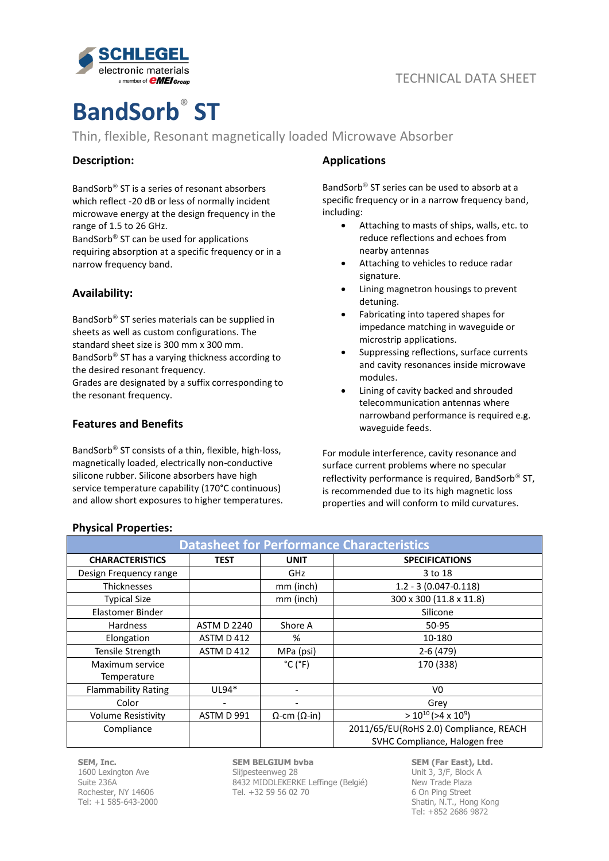

# **BandSorb**® **ST**

Thin, flexible, Resonant magnetically loaded Microwave Absorber

## **Description:**

BandSorb<sup>®</sup> ST is a series of resonant absorbers which reflect -20 dB or less of normally incident microwave energy at the design frequency in the range of 1.5 to 26 GHz.

BandSorb $<sup>®</sup>$  ST can be used for applications</sup> requiring absorption at a specific frequency or in a narrow frequency band.

## **Availability:**

BandSorb $\mathcal P$  ST series materials can be supplied in sheets as well as custom configurations. The standard sheet size is 300 mm x 300 mm. BandSorb $^{\circledR}$  ST has a varying thickness according to the desired resonant frequency.

Grades are designated by a suffix corresponding to the resonant frequency.

## **Features and Benefits**

BandSorb<sup>®</sup> ST consists of a thin, flexible, high-loss, magnetically loaded, electrically non-conductive silicone rubber. Silicone absorbers have high service temperature capability (170°C continuous) and allow short exposures to higher temperatures.

## **Applications**

BandSorb $^{\circledR}$  ST series can be used to absorb at a specific frequency or in a narrow frequency band, including:

- Attaching to masts of ships, walls, etc. to reduce reflections and echoes from nearby antennas
- Attaching to vehicles to reduce radar signature.
- Lining magnetron housings to prevent detuning.
- Fabricating into tapered shapes for impedance matching in waveguide or microstrip applications.
- Suppressing reflections, surface currents and cavity resonances inside microwave modules.
- Lining of cavity backed and shrouded telecommunication antennas where narrowband performance is required e.g. waveguide feeds.

For module interference, cavity resonance and surface current problems where no specular reflectivity performance is required. BandSorb<sup>®</sup> ST, is recommended due to its high magnetic loss properties and will conform to mild curvatures.

| <b>Datasheet for Performance Characteristics</b> |                    |                              |                                        |
|--------------------------------------------------|--------------------|------------------------------|----------------------------------------|
| <b>CHARACTERISTICS</b>                           | <b>TEST</b>        | <b>UNIT</b>                  | <b>SPECIFICATIONS</b>                  |
| Design Frequency range                           |                    | GHz                          | 3 to 18                                |
| <b>Thicknesses</b>                               |                    | mm (inch)                    | $1.2 - 3(0.047 - 0.118)$               |
| <b>Typical Size</b>                              |                    | mm (inch)                    | 300 x 300 (11.8 x 11.8)                |
| Elastomer Binder                                 |                    |                              | Silicone                               |
| Hardness                                         | <b>ASTM D 2240</b> | Shore A                      | 50-95                                  |
| Elongation                                       | ASTM D 412         | %                            | 10-180                                 |
| Tensile Strength                                 | ASTM D 412         | MPa (psi)                    | $2-6(479)$                             |
| Maximum service                                  |                    | $^{\circ}$ C ( $^{\circ}$ F) | 170 (338)                              |
| Temperature                                      |                    |                              |                                        |
| <b>Flammability Rating</b>                       | $UL94*$            |                              | V <sub>0</sub>                         |
| Color                                            |                    | $\overline{\phantom{0}}$     | Grey                                   |
| <b>Volume Resistivity</b>                        | ASTM D 991         | $\Omega$ -cm ( $\Omega$ -in) | $> 10^{10}$ (>4 x 10 <sup>9</sup> )    |
| Compliance                                       |                    |                              | 2011/65/EU(RoHS 2.0) Compliance, REACH |
|                                                  |                    |                              | SVHC Compliance, Halogen free          |

## **Physical Properties:**

**SEM, Inc.** 1600 Lexington Ave Suite 236A Rochester, NY 14606 Tel: +1 585-643-2000

# **SEM BELGIUM bvba**

Slijpesteenweg 28 8432 MIDDLEKERKE Leffinge (Belgié) Tel. +32 59 56 02 70

**SEM (Far East), Ltd.** Unit 3, 3/F, Block A New Trade Plaza 6 On Ping Street Shatin, N.T., Hong Kong Tel: +852 2686 9872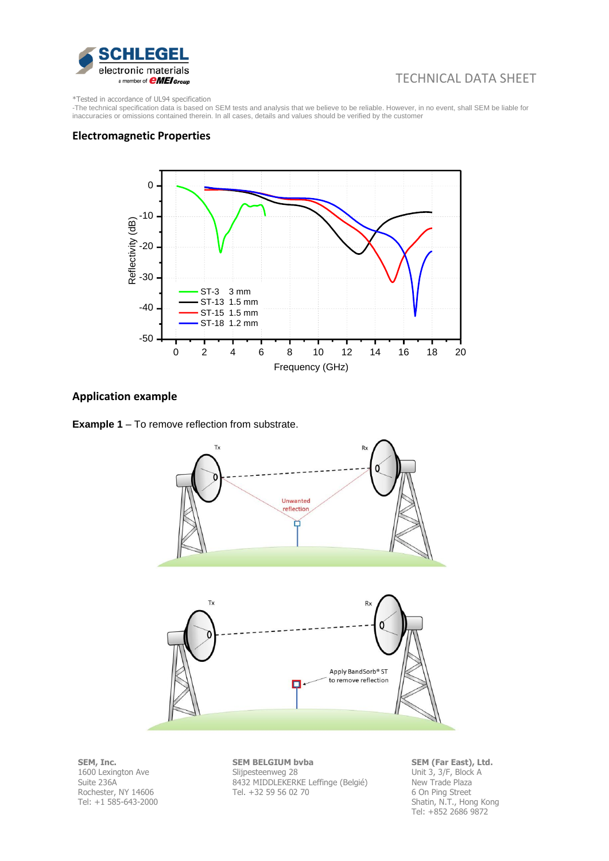

# TECHNICAL DATA SHEET

\*Tested in accordance of UL94 specification

-The technical specification data is based on SEM tests and analysis that we believe to be reliable. However, in no event, shall SEM be liable for inaccuracies or omissions contained therein. In all cases, details and values should be verified by the customer

## **Electromagnetic Properties**



#### **Application example**





**SEM, Inc.** 1600 Lexington Ave Suite 236A Rochester, NY 14606 Tel: +1 585-643-2000 **SEM BELGIUM bvba** Slijpesteenweg 28 8432 MIDDLEKERKE Leffinge (Belgié) Tel. +32 59 56 02 70

**SEM (Far East), Ltd.** Unit 3, 3/F, Block A New Trade Plaza 6 On Ping Street Shatin, N.T., Hong Kong Tel: +852 2686 9872